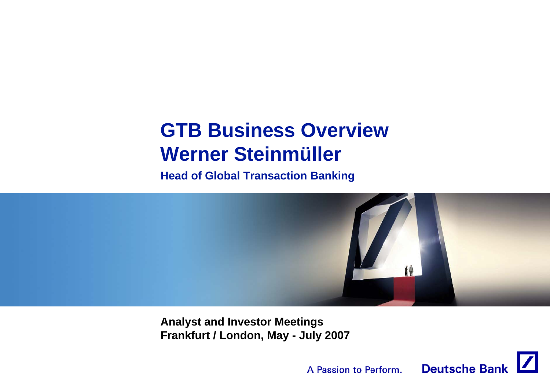# **GTB Business OverviewWerner Steinmüller**

**Head of Global Transaction Banking**



**Analyst and Investor Meetings Frankfurt / London, May - July 2007**

A Passion to Perform.

**Deutsche Bank**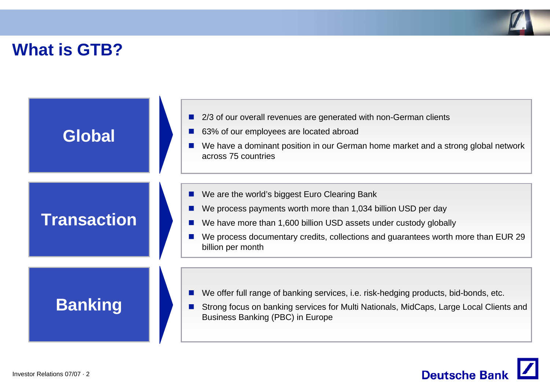

## **What is GTB?**

| Global             | 2/3 of our overall revenues are generated with non-German clients<br>63% of our employees are located abroad<br>We have a dominant position in our German home market and a strong global network<br>across 75 countries                                                                      |
|--------------------|-----------------------------------------------------------------------------------------------------------------------------------------------------------------------------------------------------------------------------------------------------------------------------------------------|
| <b>Transaction</b> | We are the world's biggest Euro Clearing Bank<br>We process payments worth more than 1,034 billion USD per day<br>We have more than 1,600 billion USD assets under custody globally<br>We process documentary credits, collections and guarantees worth more than EUR 29<br>billion per month |
| <b>Banking</b>     | We offer full range of banking services, i.e. risk-hedging products, bid-bonds, etc.<br>Strong focus on banking services for Multi Nationals, MidCaps, Large Local Clients and<br>Business Banking (PBC) in Europe                                                                            |

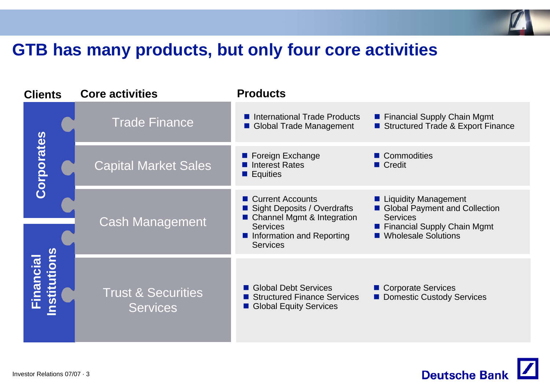

## **GTB has many products, but only four core activities**

| <b>Clients</b>                  |  | <b>Core activities</b>                           | <b>Products</b>                                                                                                                                             |                                                                                                                                      |
|---------------------------------|--|--------------------------------------------------|-------------------------------------------------------------------------------------------------------------------------------------------------------------|--------------------------------------------------------------------------------------------------------------------------------------|
|                                 |  | <b>Trade Finance</b>                             | International Trade Products<br>Global Trade Management                                                                                                     | ■ Financial Supply Chain Mgmt<br>Structured Trade & Export Finance                                                                   |
| Corporates                      |  | <b>Capital Market Sales</b>                      | ■ Foreign Exchange<br>Interest Rates<br>$\blacksquare$ Equities                                                                                             | ■ Commodities<br>■ Credit                                                                                                            |
| nstitutions<br><b>Financial</b> |  | <b>Cash Management</b>                           | ■ Current Accounts<br><b>Sight Deposits / Overdrafts</b><br>■ Channel Mgmt & Integration<br><b>Services</b><br>Information and Reporting<br><b>Services</b> | ■ Liquidity Management<br>Global Payment and Collection<br><b>Services</b><br>■ Financial Supply Chain Mgmt<br>■ Wholesale Solutions |
|                                 |  | <b>Trust &amp; Securities</b><br><b>Services</b> | Global Debt Services<br>Structured Finance Services<br>Global Equity Services                                                                               | ■ Corporate Services<br>Domestic Custody Services                                                                                    |

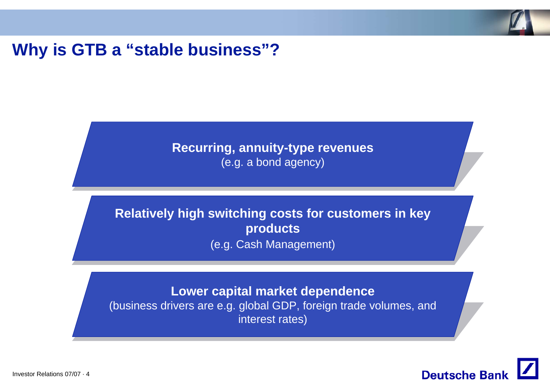

### **Why is GTB a "stable business"?**

### **Recurring, annuity-type revenues**  (e.g. a bond agency)

### **Relatively high switching costs for customers in key products**  (e.g. Cash Management)

#### **Lower capital market dependence**

(business drivers are e.g. global GDP, foreign trade volumes, and interest rates)

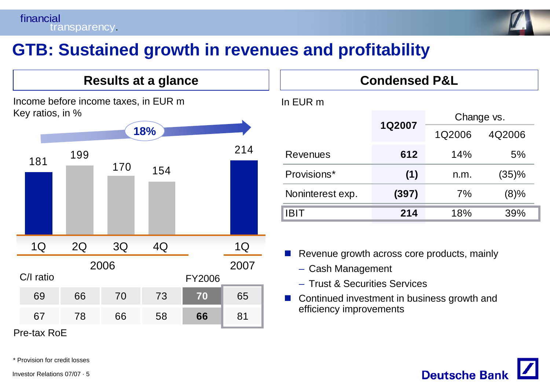

## **GTB: Sustained growth in revenues and profitability**

### Income before income taxes, in EUR m Key ratios, in % **Results at a glance** C/I ratio181154214170199**18%**69 66 70 73 **70** 65 67 78 66 58 **66** 81 1Q 2Q 3Q 4Q 1Q 2006 2007 FY2006

Pre-tax RoE

In EUR m 1Q2006 4Q2006 Revenues **612** 14% 5%Provisions\* **(1)** n.m. (35)% Noninterest exp. **(397)** 7% (8)% IBIT **214** 18% 39%Change vs. **1Q2007**

**Condensed P&L**

P. Revenue growth across core products, mainly

- Cash Management
- Trust & Securities Services
- $\sim 10$  Continued investment in business growth and efficiency improvements



\* Provision for credit losses

Investor Relations 07/07 · 5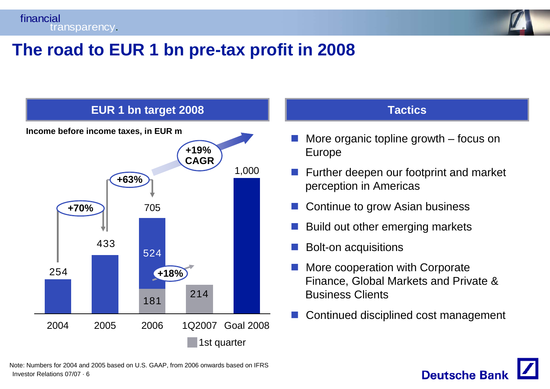financial transparency.



## **The road to EUR 1 bn pre-tax profit in 2008**



#### **Tactics**

- More organic topline growth focus on Europe
- Further deepen our footprint and market perception in Americas
- b. Continue to grow Asian business
- Build out other emerging markets
- F Bolt-on acquisitions
- F More cooperation with Corporate Finance, Global Markets and Private & Business Clients
- F Continued disciplined cost management

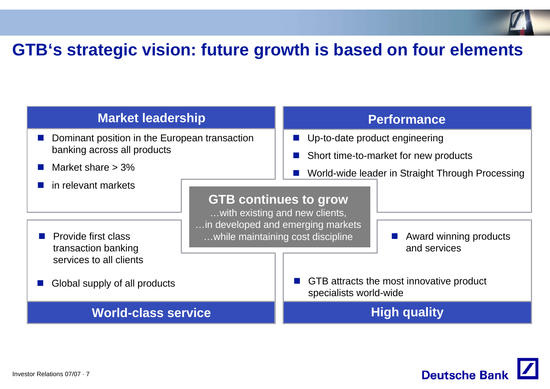

## **GTB's strategic vision: future growth is based on four elements**